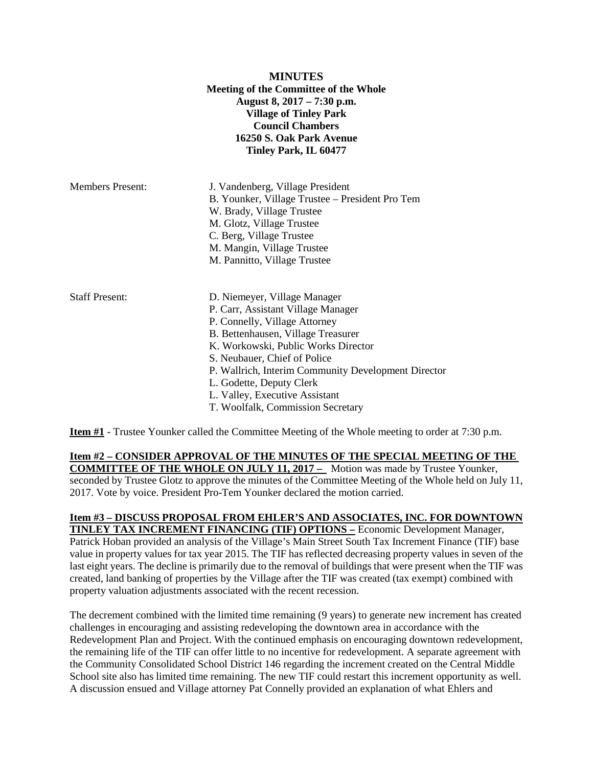|                         | <b>MINUTES</b><br>Meeting of the Committee of the Whole<br>August 8, 2017 – 7:30 p.m.<br><b>Village of Tinley Park</b><br><b>Council Chambers</b><br>16250 S. Oak Park Avenue<br>Tinley Park, IL 60477                                                                                                                                                                     |
|-------------------------|----------------------------------------------------------------------------------------------------------------------------------------------------------------------------------------------------------------------------------------------------------------------------------------------------------------------------------------------------------------------------|
| <b>Members Present:</b> | J. Vandenberg, Village President<br>B. Younker, Village Trustee – President Pro Tem<br>W. Brady, Village Trustee<br>M. Glotz, Village Trustee<br>C. Berg, Village Trustee<br>M. Mangin, Village Trustee<br>M. Pannitto, Village Trustee                                                                                                                                    |
| <b>Staff Present:</b>   | D. Niemeyer, Village Manager<br>P. Carr, Assistant Village Manager<br>P. Connelly, Village Attorney<br>B. Bettenhausen, Village Treasurer<br>K. Workowski, Public Works Director<br>S. Neubauer, Chief of Police<br>P. Wallrich, Interim Community Development Director<br>L. Godette, Deputy Clerk<br>L. Valley, Executive Assistant<br>T. Woolfalk, Commission Secretary |

**Item #1** - Trustee Younker called the Committee Meeting of the Whole meeting to order at 7:30 p.m.

**Item #2 – CONSIDER APPROVAL OF THE MINUTES OF THE SPECIAL MEETING OF THE COMMITTEE OF THE WHOLE ON JULY 11, 2017 –** Motion was made by Trustee Younker, seconded by Trustee Glotz to approve the minutes of the Committee Meeting of the Whole held on July 11, 2017. Vote by voice. President Pro-Tem Younker declared the motion carried.

# **Item #3 – DISCUSS PROPOSAL FROM EHLER'S AND ASSOCIATES, INC. FOR DOWNTOWN TINLEY TAX INCREMENT FINANCING (TIF) OPTIONS –** Economic Development Manager,

Patrick Hoban provided an analysis of the Village's Main Street South Tax Increment Finance (TIF) base value in property values for tax year 2015. The TIF has reflected decreasing property values in seven of the last eight years. The decline is primarily due to the removal of buildings that were present when the TIF was created, land banking of properties by the Village after the TIF was created (tax exempt) combined with property valuation adjustments associated with the recent recession.

The decrement combined with the limited time remaining (9 years) to generate new increment has created challenges in encouraging and assisting redeveloping the downtown area in accordance with the Redevelopment Plan and Project. With the continued emphasis on encouraging downtown redevelopment, the remaining life of the TIF can offer little to no incentive for redevelopment. A separate agreement with the Community Consolidated School District 146 regarding the increment created on the Central Middle School site also has limited time remaining. The new TIF could restart this increment opportunity as well. A discussion ensued and Village attorney Pat Connelly provided an explanation of what Ehlers and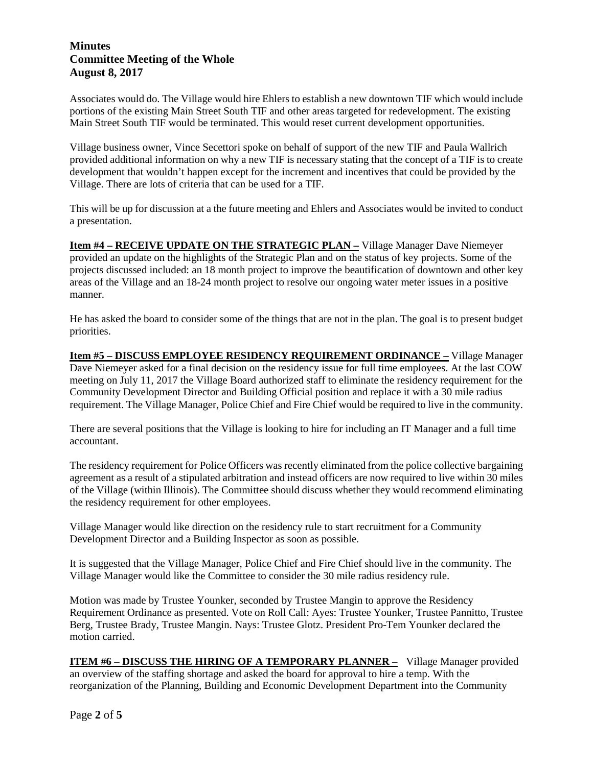Associates would do. The Village would hire Ehlers to establish a new downtown TIF which would include portions of the existing Main Street South TIF and other areas targeted for redevelopment. The existing Main Street South TIF would be terminated. This would reset current development opportunities.

Village business owner, Vince Secettori spoke on behalf of support of the new TIF and Paula Wallrich provided additional information on why a new TIF is necessary stating that the concept of a TIF is to create development that wouldn't happen except for the increment and incentives that could be provided by the Village. There are lots of criteria that can be used for a TIF.

This will be up for discussion at a the future meeting and Ehlers and Associates would be invited to conduct a presentation.

**Item #4 – RECEIVE UPDATE ON THE STRATEGIC PLAN –** Village Manager Dave Niemeyer provided an update on the highlights of the Strategic Plan and on the status of key projects. Some of the projects discussed included: an 18 month project to improve the beautification of downtown and other key areas of the Village and an 18-24 month project to resolve our ongoing water meter issues in a positive manner.

He has asked the board to consider some of the things that are not in the plan. The goal is to present budget priorities.

**Item #5 – DISCUSS EMPLOYEE RESIDENCY REQUIREMENT ORDINANCE –** Village Manager Dave Niemeyer asked for a final decision on the residency issue for full time employees. At the last COW meeting on July 11, 2017 the Village Board authorized staff to eliminate the residency requirement for the Community Development Director and Building Official position and replace it with a 30 mile radius requirement. The Village Manager, Police Chief and Fire Chief would be required to live in the community.

There are several positions that the Village is looking to hire for including an IT Manager and a full time accountant.

The residency requirement for Police Officers was recently eliminated from the police collective bargaining agreement as a result of a stipulated arbitration and instead officers are now required to live within 30 miles of the Village (within Illinois). The Committee should discuss whether they would recommend eliminating the residency requirement for other employees.

Village Manager would like direction on the residency rule to start recruitment for a Community Development Director and a Building Inspector as soon as possible.

It is suggested that the Village Manager, Police Chief and Fire Chief should live in the community. The Village Manager would like the Committee to consider the 30 mile radius residency rule.

Motion was made by Trustee Younker, seconded by Trustee Mangin to approve the Residency Requirement Ordinance as presented. Vote on Roll Call: Ayes: Trustee Younker, Trustee Pannitto, Trustee Berg, Trustee Brady, Trustee Mangin. Nays: Trustee Glotz. President Pro-Tem Younker declared the motion carried.

**ITEM #6 – DISCUSS THE HIRING OF A TEMPORARY PLANNER –** Village Manager provided an overview of the staffing shortage and asked the board for approval to hire a temp. With the reorganization of the Planning, Building and Economic Development Department into the Community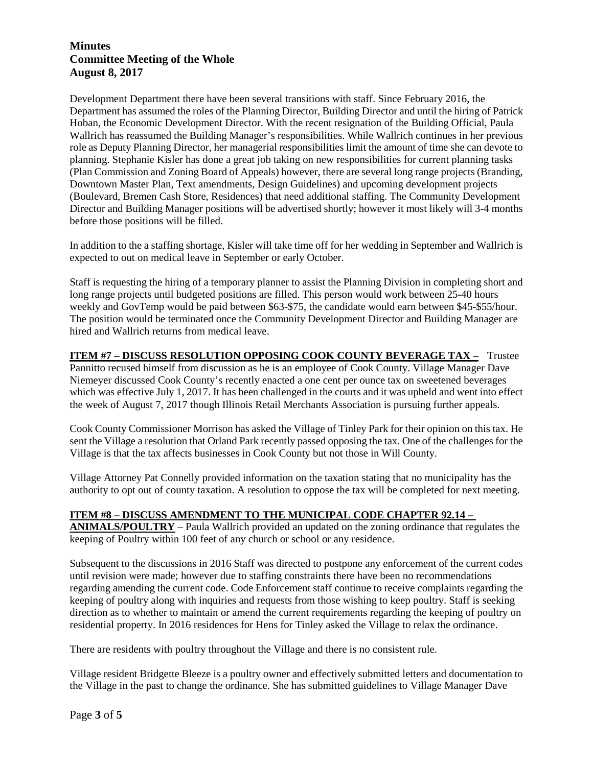Development Department there have been several transitions with staff. Since February 2016, the Department has assumed the roles of the Planning Director, Building Director and until the hiring of Patrick Hoban, the Economic Development Director. With the recent resignation of the Building Official, Paula Wallrich has reassumed the Building Manager's responsibilities. While Wallrich continues in her previous role as Deputy Planning Director, her managerial responsibilities limit the amount of time she can devote to planning. Stephanie Kisler has done a great job taking on new responsibilities for current planning tasks (Plan Commission and Zoning Board of Appeals) however, there are several long range projects (Branding, Downtown Master Plan, Text amendments, Design Guidelines) and upcoming development projects (Boulevard, Bremen Cash Store, Residences) that need additional staffing. The Community Development Director and Building Manager positions will be advertised shortly; however it most likely will 3-4 months before those positions will be filled.

In addition to the a staffing shortage, Kisler will take time off for her wedding in September and Wallrich is expected to out on medical leave in September or early October.

Staff is requesting the hiring of a temporary planner to assist the Planning Division in completing short and long range projects until budgeted positions are filled. This person would work between 25-40 hours weekly and GovTemp would be paid between \$63-\$75, the candidate would earn between \$45-\$55/hour. The position would be terminated once the Community Development Director and Building Manager are hired and Wallrich returns from medical leave.

**ITEM #7 – DISCUSS RESOLUTION OPPOSING COOK COUNTY BEVERAGE TAX –** Trustee Pannitto recused himself from discussion as he is an employee of Cook County. Village Manager Dave Niemeyer discussed Cook County's recently enacted a one cent per ounce tax on sweetened beverages which was effective July 1, 2017. It has been challenged in the courts and it was upheld and went into effect the week of August 7, 2017 though Illinois Retail Merchants Association is pursuing further appeals.

Cook County Commissioner Morrison has asked the Village of Tinley Park for their opinion on this tax. He sent the Village a resolution that Orland Park recently passed opposing the tax. One of the challenges for the Village is that the tax affects businesses in Cook County but not those in Will County.

Village Attorney Pat Connelly provided information on the taxation stating that no municipality has the authority to opt out of county taxation. A resolution to oppose the tax will be completed for next meeting.

#### **ITEM #8 – DISCUSS AMENDMENT TO THE MUNICIPAL CODE CHAPTER 92.14 –**

**ANIMALS/POULTRY** – Paula Wallrich provided an updated on the zoning ordinance that regulates the keeping of Poultry within 100 feet of any church or school or any residence.

Subsequent to the discussions in 2016 Staff was directed to postpone any enforcement of the current codes until revision were made; however due to staffing constraints there have been no recommendations regarding amending the current code. Code Enforcement staff continue to receive complaints regarding the keeping of poultry along with inquiries and requests from those wishing to keep poultry. Staff is seeking direction as to whether to maintain or amend the current requirements regarding the keeping of poultry on residential property. In 2016 residences for Hens for Tinley asked the Village to relax the ordinance.

There are residents with poultry throughout the Village and there is no consistent rule.

Village resident Bridgette Bleeze is a poultry owner and effectively submitted letters and documentation to the Village in the past to change the ordinance. She has submitted guidelines to Village Manager Dave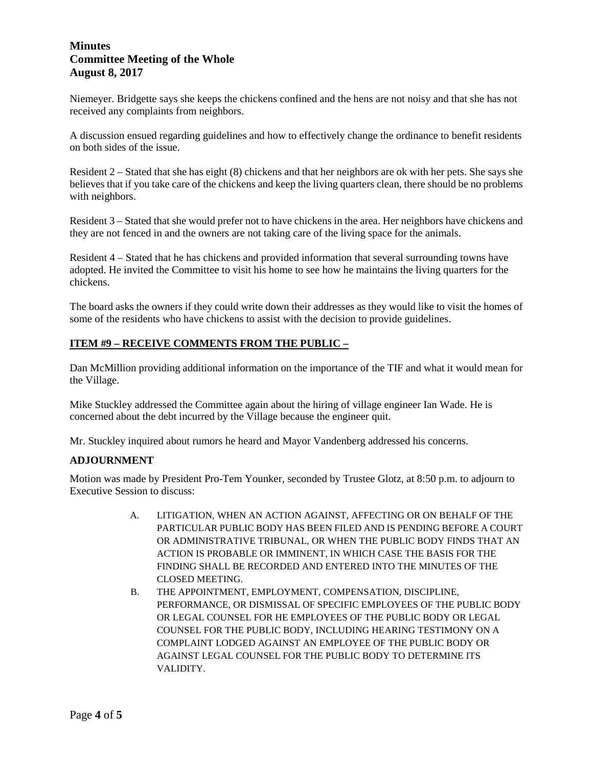Niemeyer. Bridgette says she keeps the chickens confined and the hens are not noisy and that she has not received any complaints from neighbors.

A discussion ensued regarding guidelines and how to effectively change the ordinance to benefit residents on both sides of the issue.

Resident 2 – Stated that she has eight (8) chickens and that her neighbors are ok with her pets. She says she believes that if you take care of the chickens and keep the living quarters clean, there should be no problems with neighbors.

Resident 3 – Stated that she would prefer not to have chickens in the area. Her neighbors have chickens and they are not fenced in and the owners are not taking care of the living space for the animals.

Resident 4 – Stated that he has chickens and provided information that several surrounding towns have adopted. He invited the Committee to visit his home to see how he maintains the living quarters for the chickens.

The board asks the owners if they could write down their addresses as they would like to visit the homes of some of the residents who have chickens to assist with the decision to provide guidelines.

### **ITEM #9 – RECEIVE COMMENTS FROM THE PUBLIC –**

Dan McMillion providing additional information on the importance of the TIF and what it would mean for the Village.

Mike Stuckley addressed the Committee again about the hiring of village engineer Ian Wade. He is concerned about the debt incurred by the Village because the engineer quit.

Mr. Stuckley inquired about rumors he heard and Mayor Vandenberg addressed his concerns.

#### **ADJOURNMENT**

Motion was made by President Pro-Tem Younker, seconded by Trustee Glotz, at 8:50 p.m. to adjourn to Executive Session to discuss:

- A. LITIGATION, WHEN AN ACTION AGAINST, AFFECTING OR ON BEHALF OF THE PARTICULAR PUBLIC BODY HAS BEEN FILED AND IS PENDING BEFORE A COURT OR ADMINISTRATIVE TRIBUNAL, OR WHEN THE PUBLIC BODY FINDS THAT AN ACTION IS PROBABLE OR IMMINENT, IN WHICH CASE THE BASIS FOR THE FINDING SHALL BE RECORDED AND ENTERED INTO THE MINUTES OF THE CLOSED MEETING.
- B. THE APPOINTMENT, EMPLOYMENT, COMPENSATION, DISCIPLINE, PERFORMANCE, OR DISMISSAL OF SPECIFIC EMPLOYEES OF THE PUBLIC BODY OR LEGAL COUNSEL FOR HE EMPLOYEES OF THE PUBLIC BODY OR LEGAL COUNSEL FOR THE PUBLIC BODY, INCLUDING HEARING TESTIMONY ON A COMPLAINT LODGED AGAINST AN EMPLOYEE OF THE PUBLIC BODY OR AGAINST LEGAL COUNSEL FOR THE PUBLIC BODY TO DETERMINE ITS VALIDITY.